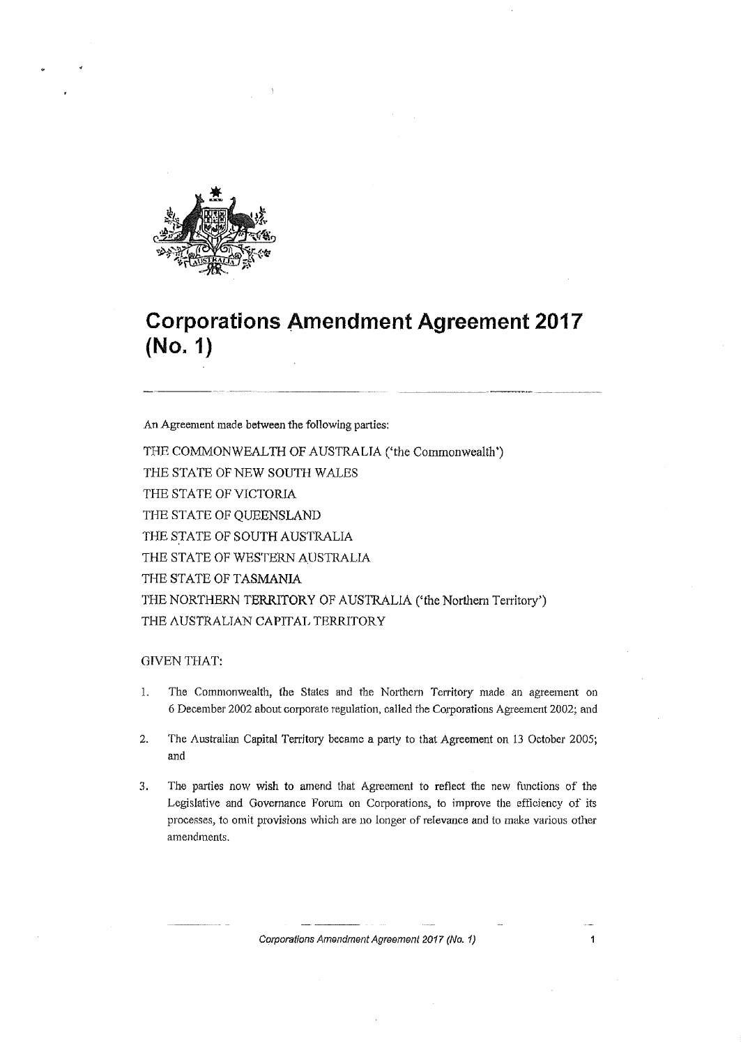

# **Corporations Amendment Agreement 2017 (No. 1)**

An Agreement made between the following parties:

THE COMMONWEALTH OF AUSTRALIA ('the Commonwealth') THE STATE OF NEW SOUTH WALES THE STATE OF VICTORIA THE STATE OF QUEENSLAND THE STATE OF SOUTH AUSTRALIA THE STATE OF WESTERN AUSTRALIA THE STATE OF TASMANIA THE NORTHERN TERRITORY OF AUSTRALIA ('the Northem Territory-') THE AUSTRALIAN CAPITAL TERRITORY

#### **GIVEN THAT:**

- 1. The Commonwealth, the States and the Northern Territory made an agreement on 6 December 2002 about corporate regulation, called the Corporations Agreement 2002; and
- 2. The Australian Capital Territory became a party to that Agreement on 13 October 2005; and
- 3. The parties now wish to amend that Agreement to reflect the new functions of the Legislative and Governance Forum on Corporations, to improve the efficiency of its processes, to omit provisions which are no longer of relevance and to make various other amendments.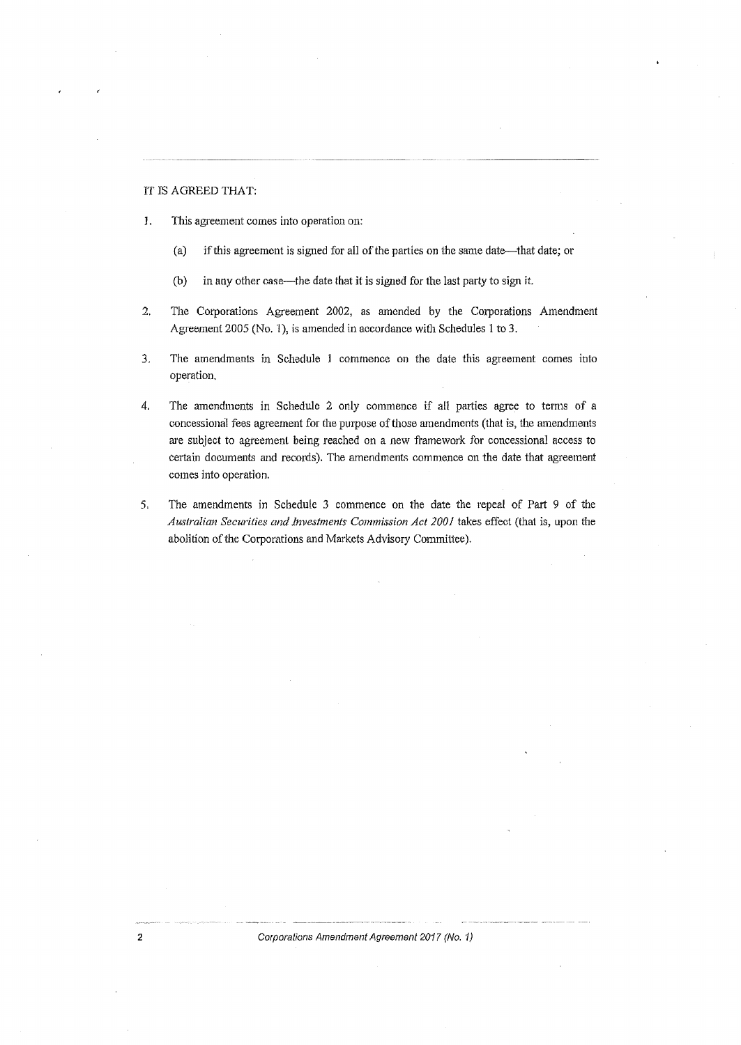#### IT IS AGREED THAT:

- J. This agreement comes into operation on:
	- (a) if this agreement is signed for all of the parties on the same date—that date; or
	- (b) in any other case-the date that it is signed for the last party to sign it.
- 2. The Corporations Agreement 2002, as amended by the Corporations Amendment Agreement 2005 (No. 1), is amended in accordance with Schedules 1 to 3.
- 3. The amendments in Schedule 1 commence on the date this agreement comes into operation.
- 4. The amendments in Schedule 2 only commence if all parties agree to terms of a concessional fees agreement for the purpose of those amendments (that is, the amendments are subject to agreement being reached on a new framework for concessional access to certain documents and records). The amendments commence on the date that agreement comes into operation.
- 5. The amendments in Schedule 3 commence on the date the repeal of Part 9 of the *Australian Securities and Investments Commission Act 2001* takes effoct (that is, upon the abolition of the Corporations and Markets Advisory Committee).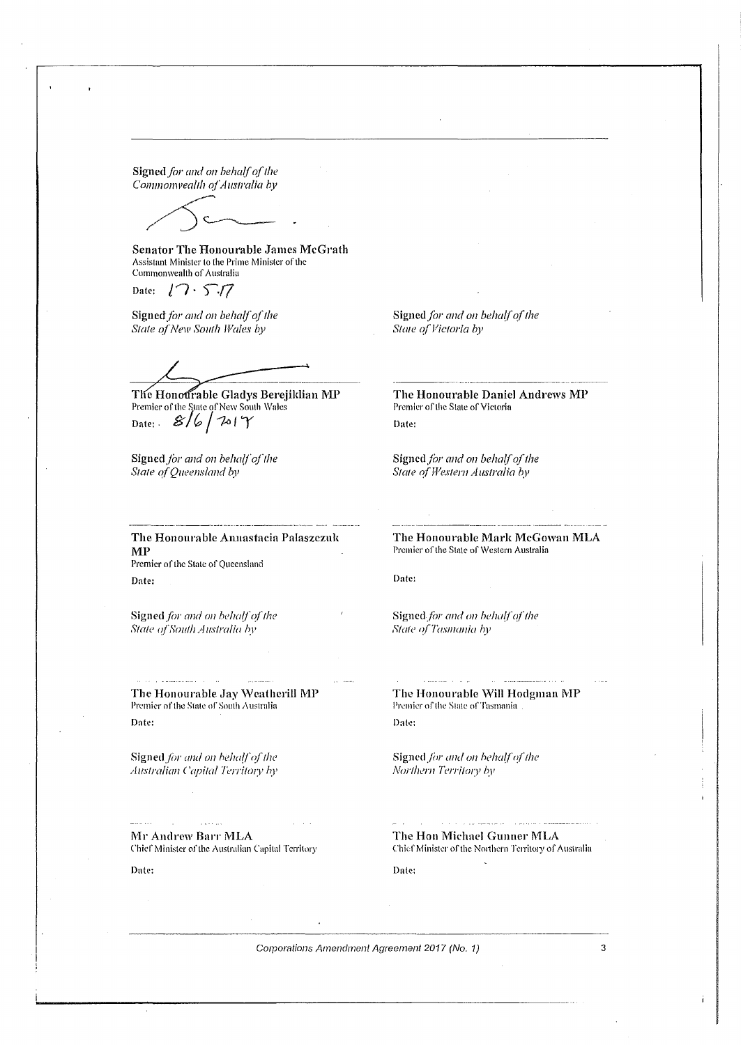Signed for and on behalf of the

*Commonwealth of Australia by* 

Senator The Honourable James McGrath Assistant Minister lo the Piime Minister of the Commonwealth or Australia

Date:  $\sqrt{7} \cdot 5.77$ 

Signed for and on behalf of the **State of New South Wales by** 

The Honourable Gladys Berejiklian MP Premier of the State of New South Wales Date:  $8/6/201$ 

Signed for and on behalf of the **State of Queensland by** 

Signed for and on behalf of the *State of Victoria by* 

The Honourable Daniel Andrews MP Premier of the Stale of Victoria Date:

Signed for and on behalf of the *State ofWestem Austmlia* by

The Honourable Anuastacia Palaszezuk MP Premier of the State of Queensland Date:

Signed for and on behalf of the *State ofSouth A ustmlio hy* 

The Honourable Jay Weatherill MP Premier of the State of South Australia Date:

Signed for and on hehalf of the *Australian Capital Territory by* 

Mr Andrew Barr MLA Chief Minister of the Australian Capital Territory

لانتخاب

Date:

The Honourable Mark McGowan MLA Premier of the State of Western Australia

Date:

Signed for and on hehalf of the *State of Tasmania hy* 

The Honourable Will Hodgman MP Premier of the State of Tasmania Date:

Signed for and on hehalf of the *Northern Territory by* 

The Hon Michael Gunner MLA Chief Minister of the Northern Territory of Australia

Date: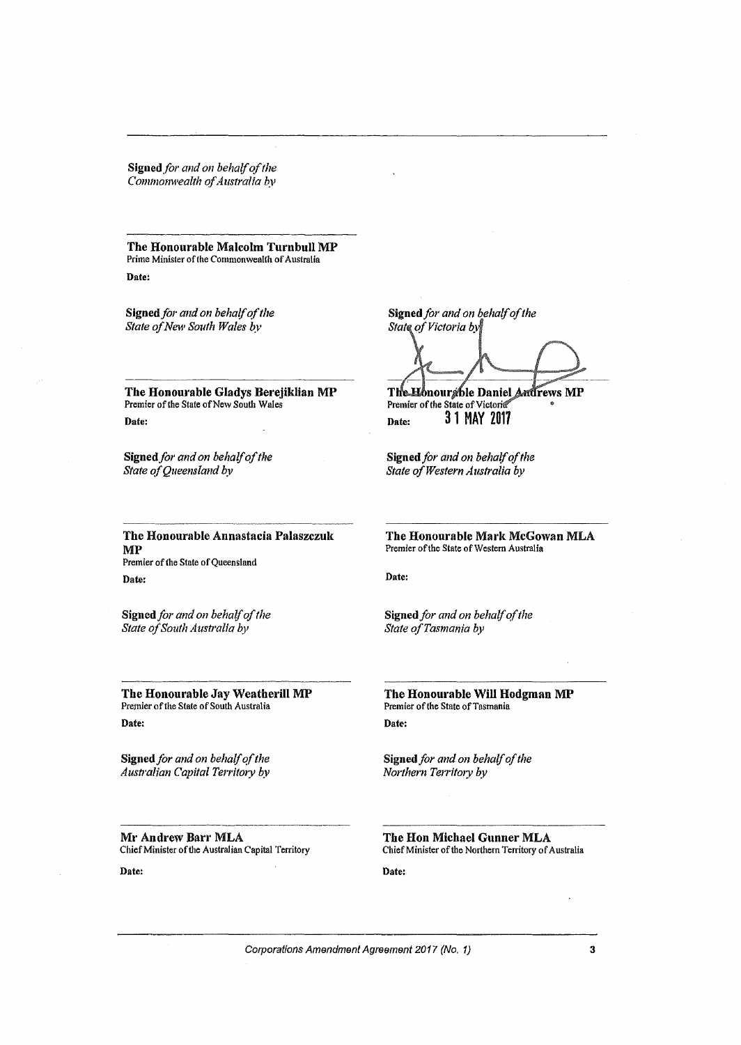Signed for and on behalf of the *Commonwealth a/Australia* by

The Honourable Malcolm Turnbull MP Prime Minister of the Commonwealth of Australia Date:

Signed for and on behalf of the *State ofNew South Wales by* 

The Honourable Gladys Berejiklian MP Premier of the State of New South Wales Date:

Signed for and on behalf of the *State of Queensland by* 

----·-----·----- The Honourable Annastacia Palaszczuk MP Premier of the State of Queensland Date:

Signed *for and on behalf of the State ofSouth Australia by* 

Premier of the State of South Australia

Signed *for and on behalfofthe Australian Capital Territory by*  Signed for and on behalf of the State of Victoria by

The Honour the Daniel Andrews MP Date: 31 MAY 2017 Premier of the State of Victoria<sup>®</sup>

Signed *for and on behalfofthe State ofWestern Australia by* 

The Honourable Mark McGowan MLA Premier of the State of Western Australia

Date:

Signed for and on behalf of the *State ofTasmania by* 

The Honourable Jay Weatherill MP The Honourable Will Hodgman MP Premier of the State of Tasmania Date:

> Signed *for and on behalfofthe Northern Territ01y by*

Mr Andrew Barr MLA Chief Minister of the Australian Capital Territory The Hon Michael Gunner MLA Chief Minister of the Northern Territory of Australia

Date:

Corporations Amendment Agreement 2017 (No. 1) 3

Date:

Date: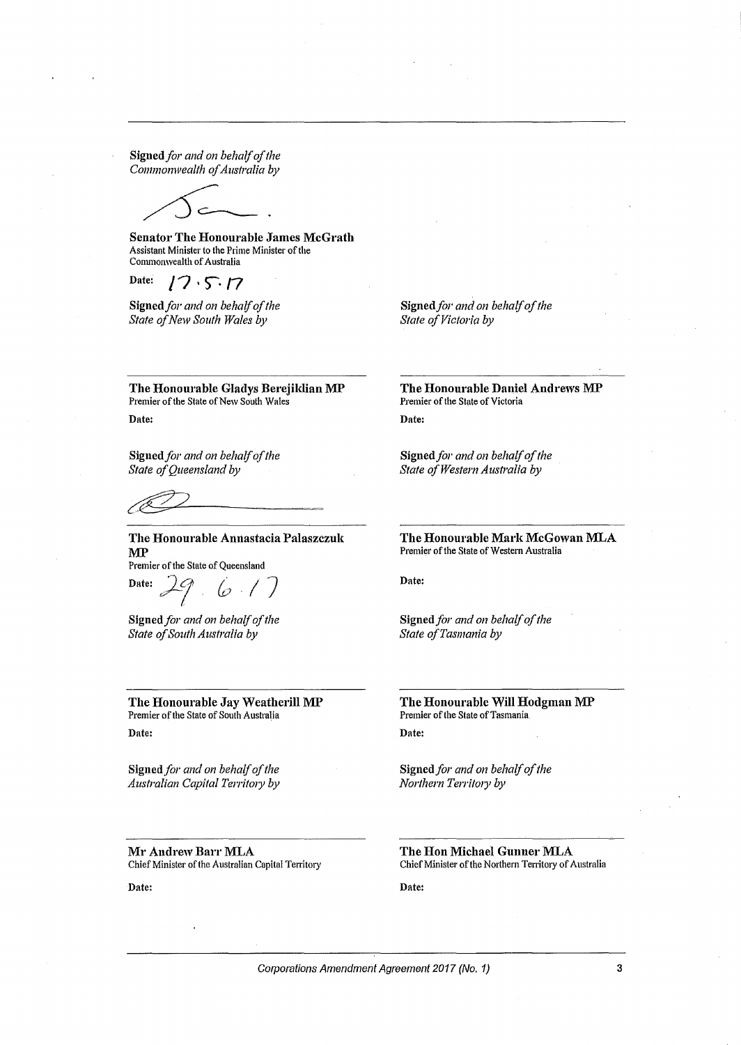Signed for and on behalf of the *Commonwealth ofAustralia by* 

Senator The Honourable James McGrath Assistant Minister to the Prime Minister of the Commonwealth of Australia

Date:  $17.5.17$ 

Signed for and on behalf of the *State ofNew South Wales by* 

Signed for and on behalf of the **State of Victoria by** 

The Honourable Gladys Berejildian MP Premier of the State of New South Wales Date:

Signed for and on behalf of the *State of Queensland by* 

The Honourable Annastacia Palaszczuk MP

Premier of the State of Queensland<br>Date:  $\begin{array}{c} \boxed{3} \\ \boxed{7} \\ \boxed{0} \end{array}$ 

Signed for and on behalf of the *State ofSouth Australia by* 

The Honourable Jay Weatherill MP Premier of the State of South Australia Date:

Signed for and on behalf of the *Australian Capital Territory by* 

Mr Andrew Barr MLA Chief Minister of the Australian Capital Territory

Date:

The Honourable Daniel Andrews MP Premier of the State of Victoria

Date:

Signed *for and on behalf of the State ofWestern Australia by* 

The Honourable Mark McGowan MLA Premier of the State of Western Australia

Date:

Signed *for and on behalf of the State ofTasmania by* 

The Honourable Will Hodgman MP Premier of the State of Tasmania Date:

Signed *for and on behalf of the Northern Territory by* 

The Hon Michael Gunner MLA Chief Minister of the Northern Territory of Australia

Date: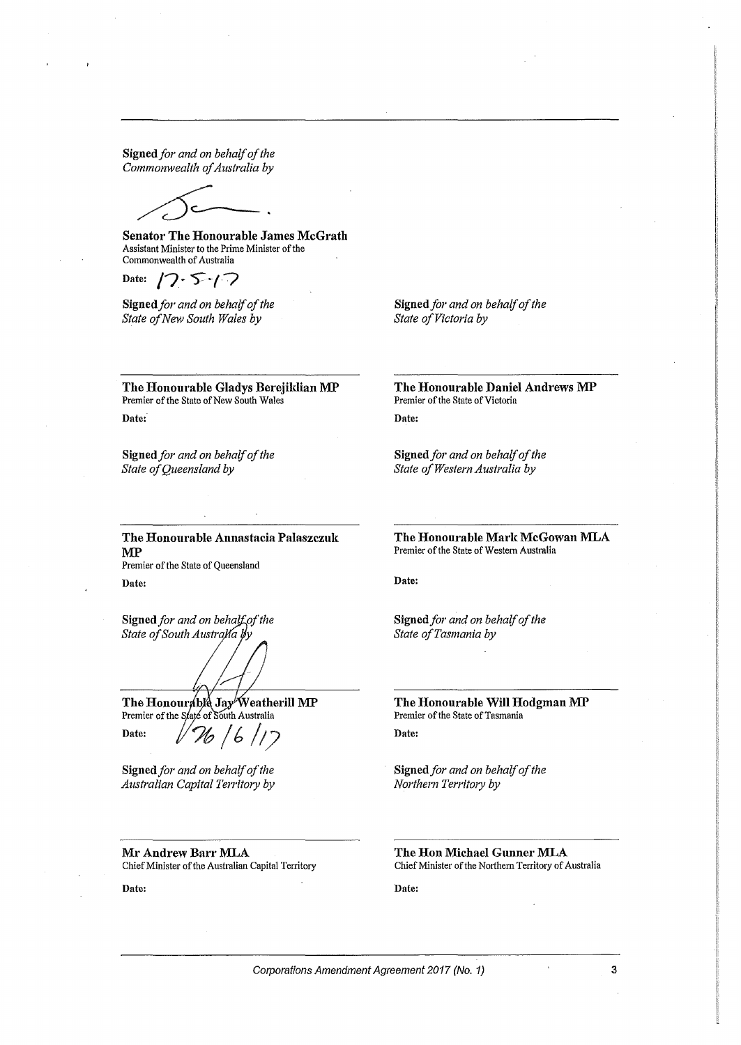Signed for and on behalf of the *Commonwealth of Australia by* 

Senator The Honourable James McGrath Assistant Minister to the Prime Minister of the Commonwealth of Australia

Date:  $17.5 - 17$ 

Signed for and on behalf of the *State ofNew South Wales by* 

Signed for and on behalf of the **State of Victoria by** 

The Honourable Gladys Berejildian MP Premier of the State of New South Wales Date:

Signed *for and on behalf of the* State of Queensland by

The Honourable Daniel Andrews MP Premier of the State of Victoria Date:

Signed for and on behalf of the *State ofWestern Australia by* 

The Honourable Annastacia Palaszczuk MP Premier of the State of Queensland

Date:

Signed for and on behalf of the *State of South Australia by* 

The Honourable Jay Weatherill MP Premier of the State of South Australia Date:  $1/26/17$ 

Signed for and on behalf of the *Australian Capital Territory by* 

Mr Andrew Barr MLA Chief Minister of the Australian Capital Territory

Date:

The Honourable Mark McGowan MLA Premier of the State of Western Australia

Date:

Signed *for and on behalf of the State ofTasmania by* 

The Honourable Will Hodgman MP Premier of the State of Tasmania Date:

Signed for and on behalf of the *Northern Territory by* 

The Hon Michael Gunner MLA Chief Minister of the Northern Territory of Australia

Date: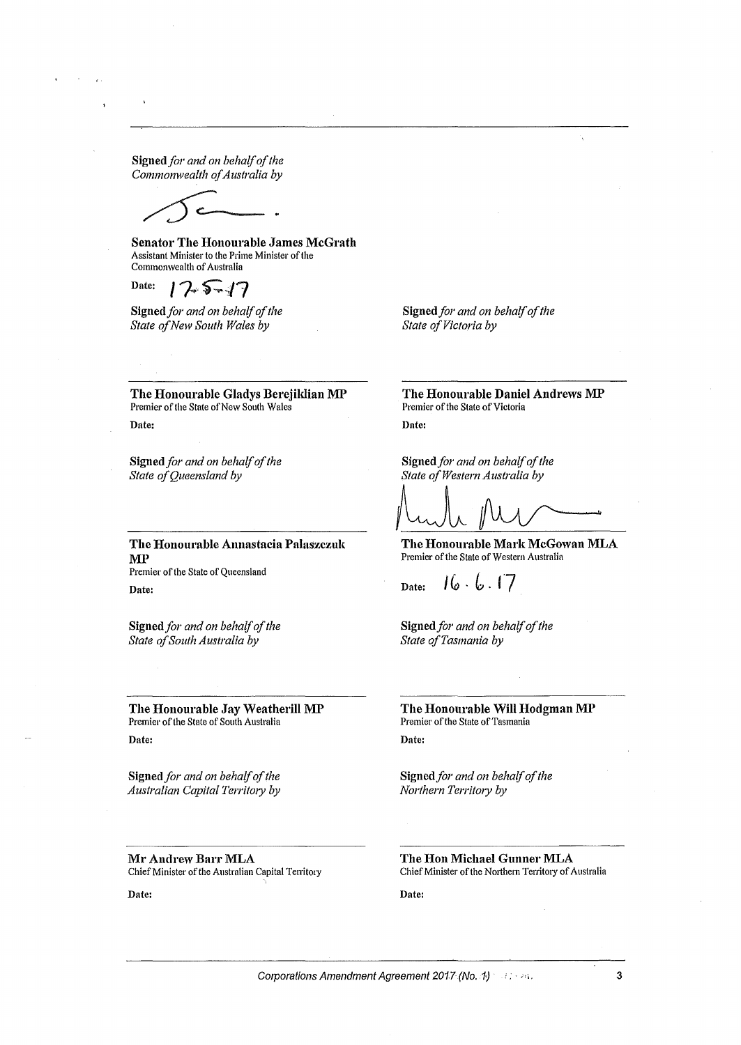Signed *for and on behalf of the Commonwealth ofAustralia by* 

Senator The Honourable James McGrath Assistant Minister to the Prime Minister of the Commonwealth of Australia

Date:  $17.5 - 17$ 

Signed for and on behalf of the *State ofNew South Wales by* 

Signed for and on behalf of the *State of Victoria by* 

The Honourable Gladys Berejildian MP Premier of the State of New South Wales Date:

Signed for and on behalf of the State of Queensland by

The Honourable Annastacia Palaszczuk MP

Premier of the State of Queensland Date:

Signed *for and on behalf of the State ofSouth Australia by* 

The Honourable Jay Weatherill MP Premier of the State of South Australia Date:

Signed for and on behalf of the *Australian Capital Territory by* 

Mr Andrew Barr MLA Chief Minister of the Australian Capital Territory

Date:

The Honourable Daniel Andrews MP Premier of the State of Victoria Date:

Signed for and on behalf of the *State ofWestern Australia by* 

Signed for and on behalf of the<br>State of Western Australia by<br> $\bigcup_{\text{true}}$   $\bigcup_{\text{true}}$   $\bigcup_{\text{true}}$   $\bigcup_{\text{true}}$   $\bigcup_{\text{true}}$   $\bigcup_{\text{true}}$   $\bigcup_{\text{true}}$   $\bigcup_{\text{true}}$   $\bigcup_{\text{true}}$   $\bigcup_{\text{true}}$   $\bigcup_{\text{true}}$   $\bigcup_{\text{true}}$   $\bigcup_{\text{true}}$   $\big$ 

Premier of the State of Western Australia

 $16.6.17$ Date:

Signed for and on behalf of the State of Tasmania by

The Honourable Will Hodgman MP Premier of the State of Tasmania Date:

Signed *for and on behalf of the Northern Territ01y by* 

The Hon Michael Gunner MLA Chief Minister of the Northern Territory of Australia

Date: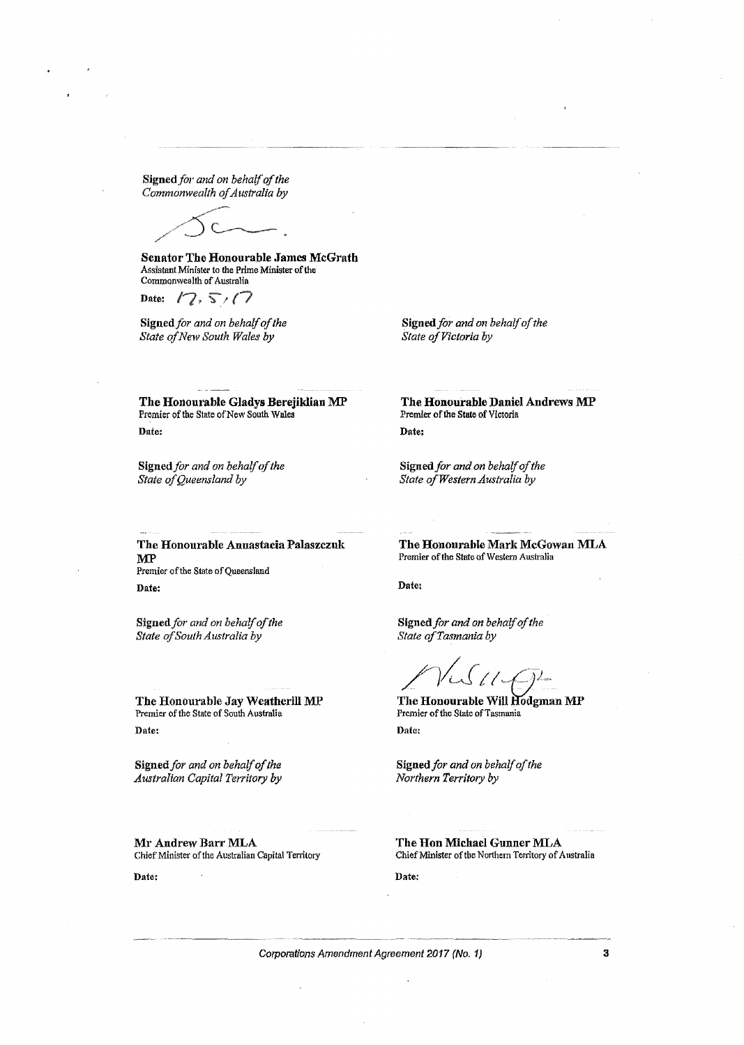Signed *for and on behalf of the* Commonwealth of Australia by

Senator The Honourable James McGrath Assistant Minister to the Prime Minister of the Commonwealth of Australia

Date:  $1/2$ ,  $5/7$ 

Signed for and on behalf of the *State ofNew South Wales* by

Signed for and on behalf of the *State of Victoria by* 

The Honourable Gladys Berejiklian MP Premier of the State of New South Wales Date:

Signed for and on behalf of the State of Queensland by

The Honourable Daniel Andrews MP Premier of the State of Victoria Date:

Signed for and on behalf of the *State ofWesternAustralia by* 

The Honourable Annastacia Palaszczuk MP Premier of the State of Queensland Date:

Signed for and on behalf of the *State ofSouth Australia by* 

The Honourable Jay Weatherill MP Premier of the State of South Australia Date:

Signed for and on behalf of the *Australian Capital Territory by* 

Mr Andrew Barr MLA Chief Minister of the Australian Capital Territory

Date:

The Honourable Mark McGowan MLA Premier of the State of Western Australia

Date:

Signed*for and on behalfofthe State ofTasmania by* 

*/-}{J*<sup>11</sup>~f-J2

The Honourable Will Hodgman MP Premier of the State of Tasmania Date:

Signed for and on behalf of the *Northern Territory by* 

The Hon Michael Gunner MLA Chief Minister of the Northern Territory of Australia

Date: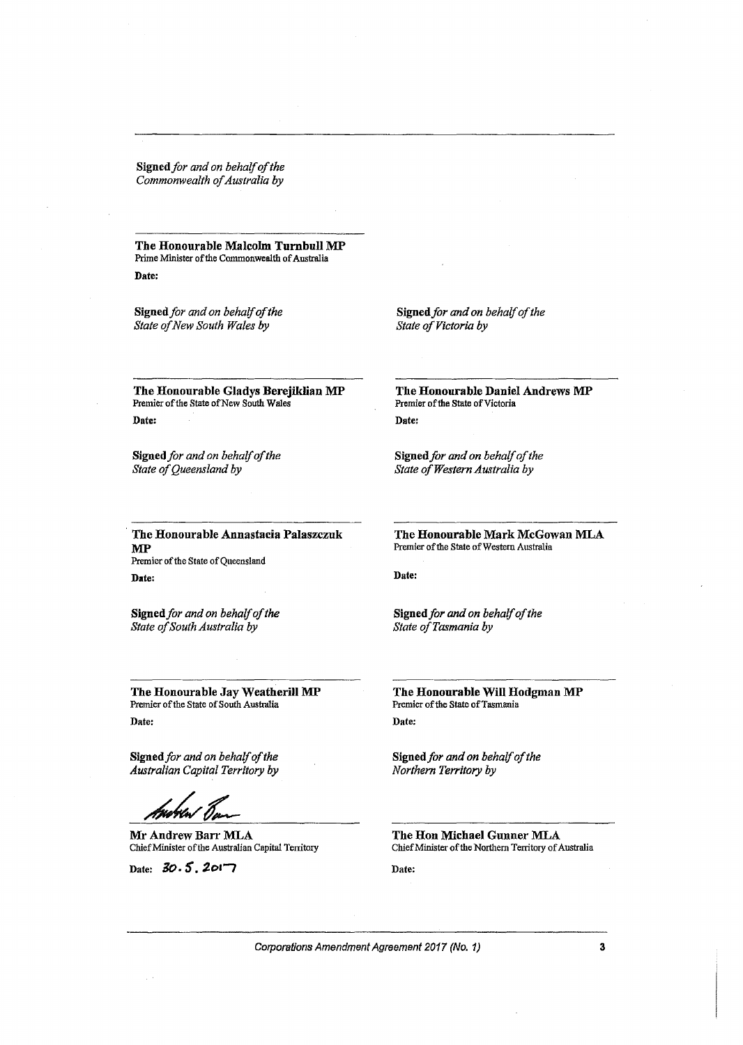Signed for and on behalf of the Commonwealth of Australia by

The Honourable Malcolm Turnbull MP Prime Minister of the Commonwealth of Australia Date:

Signed *for and on behalfofthe State ofNew South Wales by* 

Signed for and on behalf of the *State of Victoria by* 

The Honourable Gladys Berejiklian MP Premier of the State of New South Wales Date:

Signed for and on behalf of the State of Queensland by

The Honourable Daniel Andrews MP Premier of the State of Victoria Date:

Signed for and on behalf of the *State ofWestern Australia by* 

The Honourable Annastacia Palaszczuk MP Premier of the State of Queensland Date:

Signed for and on behalf of the *State ofSouth Australia by* 

The Honourable Jay Weatherill MP Premier of the State of South Australia Date:

Signed for and on behalf of the *Australian Capital Territory by* 

Mr Andrew Barr MLA Chief Minister of the Australian Capital Territory

Date: 30.5, 2017

The Honourable Mark McGowan MLA Premier of the State of Western Australia

Date:

Signed *for and on behalfofthe State ofTasmania by* 

The Honourable Will Hodgman MP Premier of the State of Tasmania Date:

Signed for and on behalf of the *Northern Territory by* 

The Hon Michael Gunner MLA Chief Minister of the Northern Territory of Australia

Date: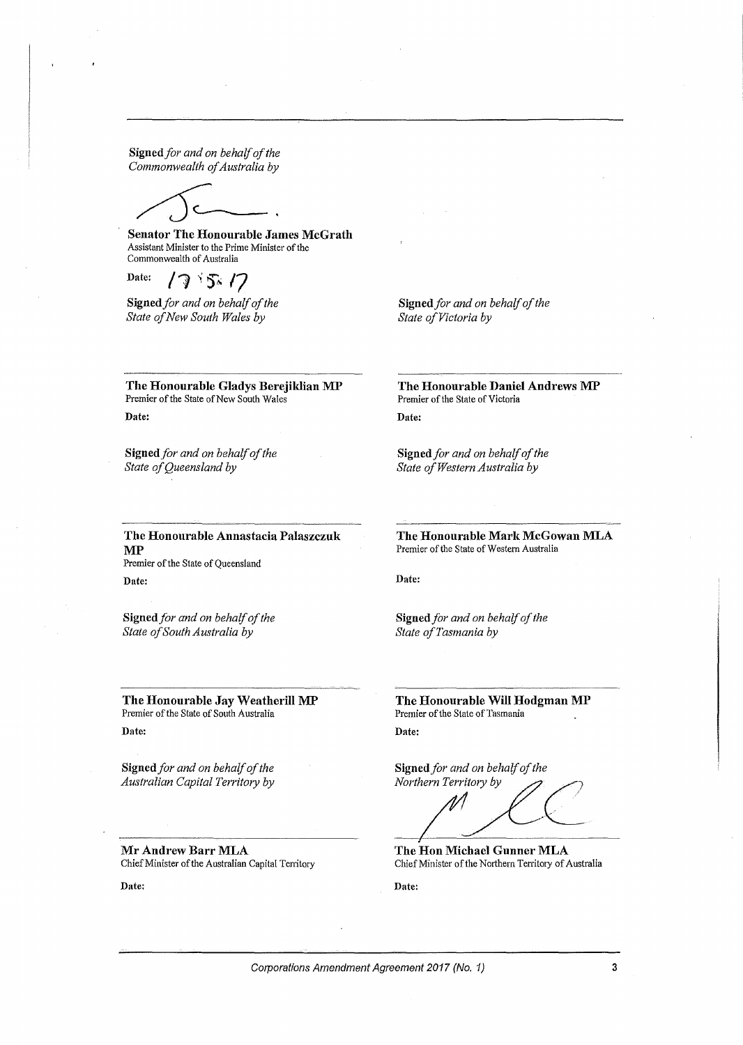Signed for and on behalf of the *Commonwealth ofAustralia by* 

Senator The Honourable James McGrath Assistant Minister to the Prime Minister of the Commonwealth of Australia

Date:  $175.17$ 

Signed for and on behalf of the *State ofNew South Wales by* 

Signed for and on behalf of the **State of Victoria by** 

The Honourable Gladys Berejildian MP Premier of the State of New South Wales Date:

Signed for and on behalf of the *State ofQueensland by* 

The Honourable Daniel Andrews MP Premier of the State of Victoria Date:

Signed *for and on behalf of the State ofWestern Australia by* 

The Honourable Annastacia Palaszczuk MP Premier of the State of Queensland

Date:

Signed *for and on behalf of the State ofSouth Australia by* 

The Honourable Jay Weatherill MP Premier of the State of South Australia Date:

Signed *for and on behalf of the Australian Capital Territory by* 

Mr Andrew Barr MLA Chief Minister of the Australian Capital Territory

Date:

The Honourable Mark McGowan MLA Premier of the State of Western Australia

Date:

Signed *for and on behalf of the State ofTasmania by* 

The Honourable Will Hodgman MP Premier of the State of Tasmania Date:

Signed *for and on behalf of the*<br>*Northern Territory by* 

**Signed** for and on behalf of the<br>Northern Territory by<br>The Hon Michael Gunner MLA

Chief Minister of the Northern Territory of Australia

Date: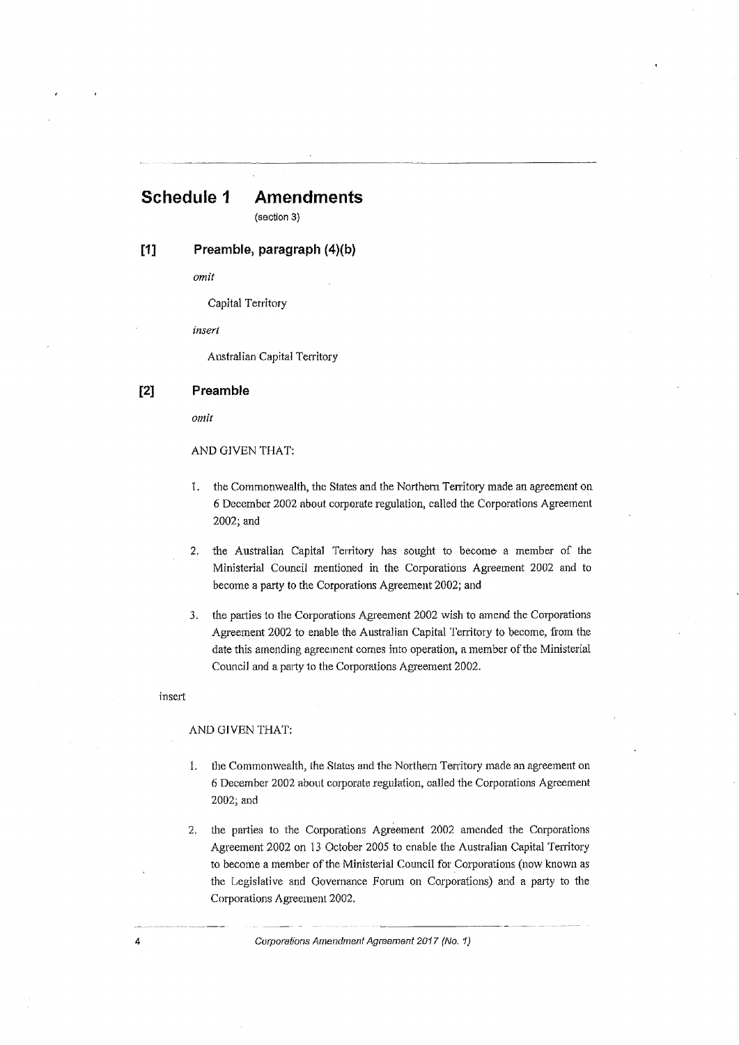# **Schedule 1 Amendments**

(section 3)

## **[1] Preamble, paragraph {4)(b)**

*omit* 

Capital Territory

*insert* 

Australian Capital Territory

#### [2] **Preamble**

*omit* 

#### AND GIVEN THAT:

- 1. the Commonwealth, the States and the Northern Territory made an agreement on 6 December 2002 about corporate regulation, called the Corporations Agreement 2002;and
- 2. the Australian Capital Territory has sought to become a member of the Ministerial Council mentioned in the Corporations Agreement 2002 and to become a party to the Corporations Agreement 2002; and
- 3. the parties to the Corporations Agreement 2002 wish to amend the Corporations Agreement 2002 to enable the Australian Capital Territory to become, from the date this amending agreement comes into operation, a member of the Ministerial Council and a party to the Corporations Agreement 2002.

#### insert

#### AND GIVEN THAT:

- 1. the Commonwealth, the States and the Northern Territory made an agreement on 6 December 2002 about corporate regulation, called the Corporations Agreement 2002; and
- 2. the parties to the Corporations Agreement 2002 amended the Corporations Agreement 2002 on 13 October 2005 to enable the Australian Capital Territory to become a member of the Ministerial Council for Corporations (now known as the Legislative and Governance Forum on Corporations) and a party to the Corporations Agreement 2002.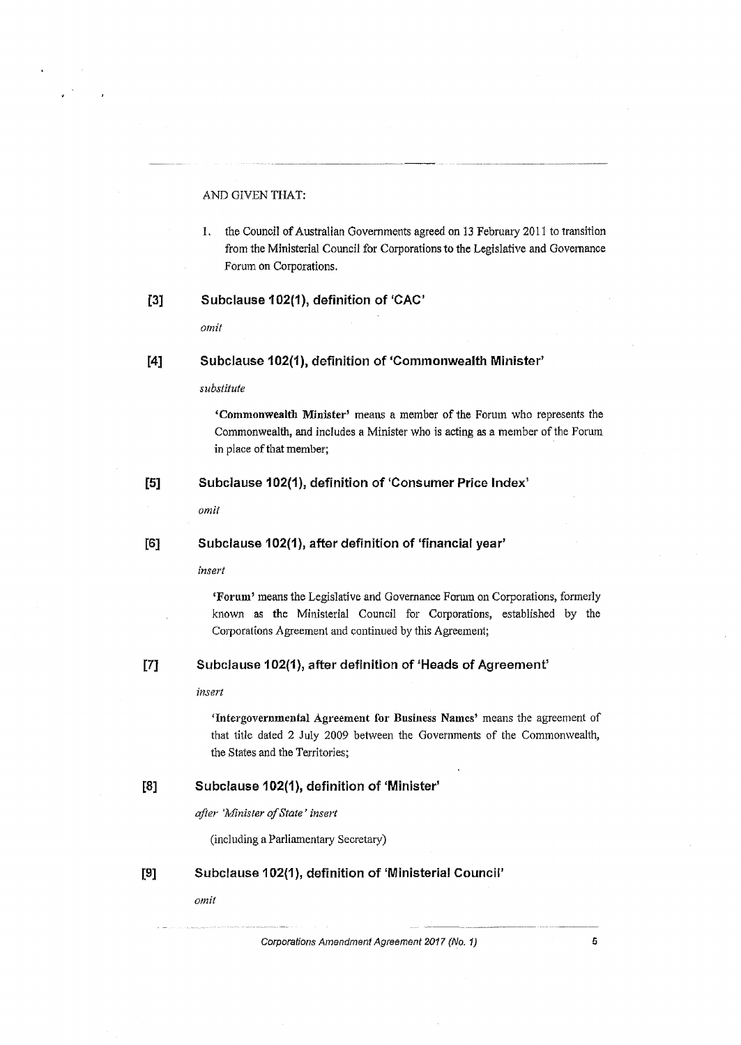#### AND GIVEN THAT:

1. the Council of Australian Governments agreed on 13 February 2011 to transition from the Ministerial Council for Corporations to *the* Legislative and Govemance Forum on Corporations.

#### [3] Subclause 102(1), definition of 'CAC'

*omit* 

#### [4] Subclause 102(1), definition of 'Commonwealth Minister'

#### *substitute*

'Commonwealth Min:ister' means a member of the Forum who represents the Commonwealth, and includes a Minister who is acting as a member of the Fonun in place of that member;

#### [5] Subclause 102(1), definition of 'Consumer Price Index'

*omit* 

#### [6] Subclause 102(1}, after definition of 'financial year'

*insert* 

'Forum' means the Legislative and Governance Forum on Corporations, formerly known as the Ministerial Council for Corporations, established by the Corporations Agreement and continued by this Agreement;

#### [71 Subclause 102(1}, after definition of 'Heads of Agreement'

#### *insert*

'Intergovernmental Agreement for Business Names' means the agreement of that title dated 2 July 2009 between the Governments of the Commonwealth, the States and the Territories;

### [8] Subclause 102(1), definition of 'Minister'

*after 'Minister ofState' insert* 

(including a Parliamentary Secretary)

[9] Subclause 102(1 ), definition of 'Ministerial Council'

*omit*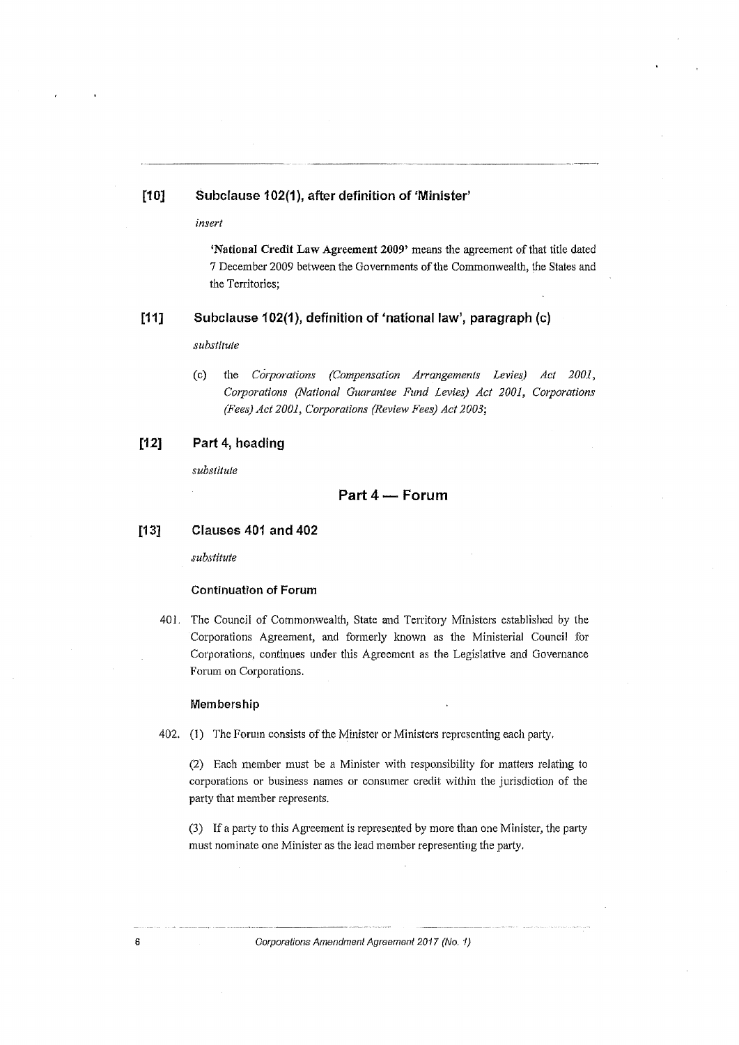#### **[1 O] Subclause 102(1 ), after definition of 'Minister'**

*insert* 

**'National Credit Law Agreement 2009'** means the agreement of that title dated 7 December 2009 between the Governments of the Commonwealth, the States and the Territories;

------•~uµ - -----~~

#### **[11] Subclause 102(1), definition of 'national law', paragraph (c)**

*substitute* 

(c) the *Corporations (Compensation Arrangements Levies) Act 2001, Corporations (National Guarantee Fund Levies) Act 2001, Corporations (Fees) Act 2001, Corporations (Review Fees) Act 2003;* 

#### **[12] Part 4, heading**

*substitute* 

#### **Part 4 - Forum**

#### **[13] Clauses 401 and 402**

*substitute* 

#### **Continuation of Forum**

401. The Council of Commonwealth, State and Territory Ministers established by the Corporations Agreement, and formerly known as the Ministerial Council for Corporations, continues under this Agreement as the Legislative and Governance Forum on Corporations.

#### **Membership**

402. (1) The Forum consists of the Minister or Ministers representing each party.

(2) Each member must be a Minister with responsibility for matters relating to corporations or business names or consumer credit wi111in the jurisdiction of the party that member represents.

(3) If a party to this Agreement is represented by more than one Minister, the party must nominate one Minister as the lead member representing the party.

<sup>~</sup>-------· --- -·-··---·~-------- ·-~-~·--·-··-··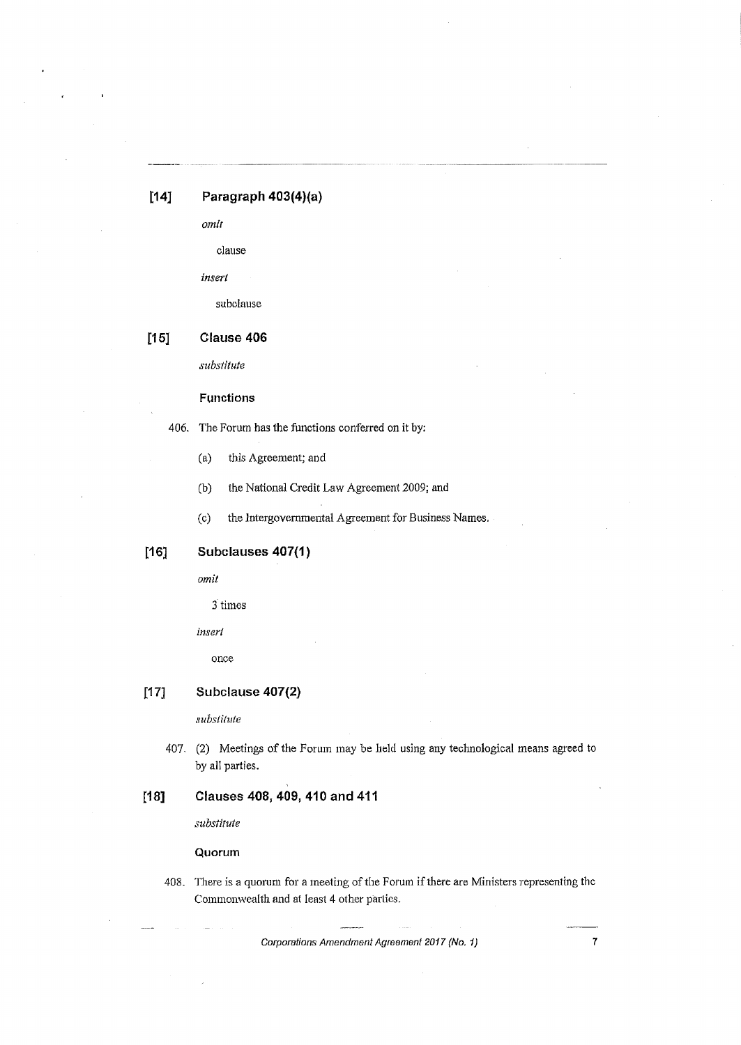### **[14] Paragraph 403(4)(a)**

*omit* 

clause

*insert* 

subclause

### **[15] Clause 406**

*substitute* 

#### **Functions**

406. The Forum has the functions conferred on it by:

- (a) this Agreement; and
- (b) the National Credit Law Agreement 2009; and

(c) the Jntergovernrnental Agreement for Business Names.

### **[1 G] Subclauses 407(1)**

*omit* 

3 times

*insert* 

once

### **[17] Subclause 407(2)**

*subsiitute* 

407. (2) Meetings of the Forum may be held using any technological means agreed to by all parties.

### **£18] Clauses 408, 409, 410 and 411**

*substitute* 

**Quorum** 

408. There is a quorum for a meeting of the Forum if there are Ministers representing the Commonwealth and at least 4 other parties.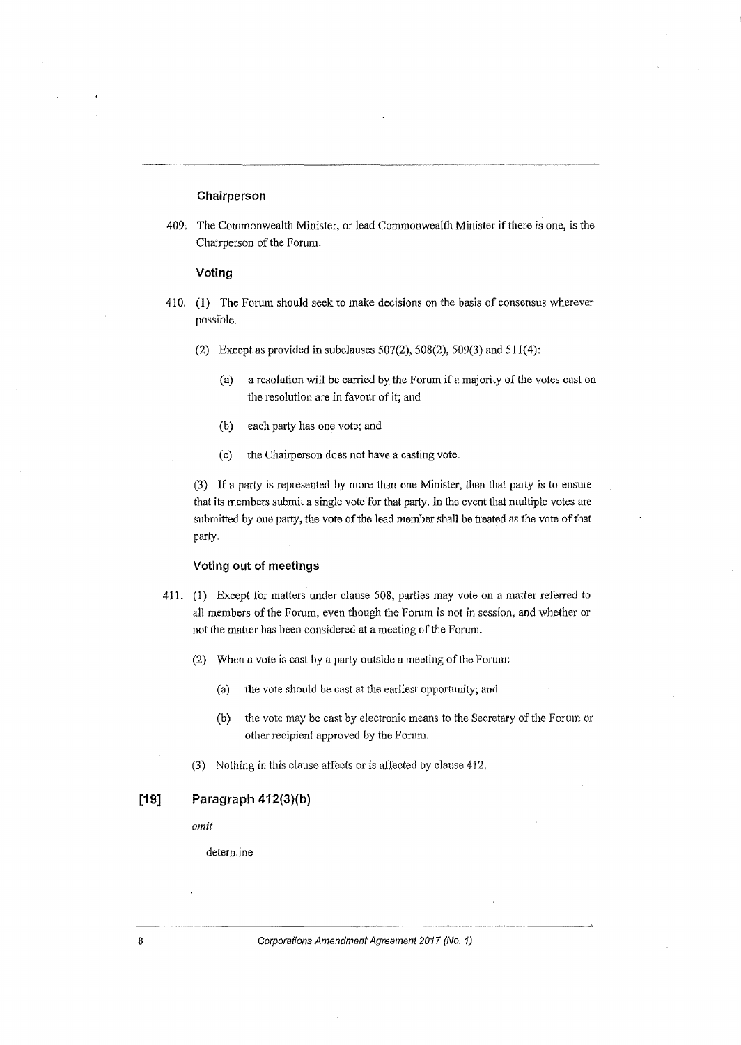#### **Chairperson**

409. The Commonwealth Minister, or lead Commonwealth Minister if there is one, is the Chairperson of the Forum.

#### **Voting**

- 410. (1) The Forum should seek to make decisions on the basis of consensus wherever possible.
	- (2) Except as provided in subclauses  $507(2)$ ,  $508(2)$ ,  $509(3)$  and  $511(4)$ :
		- (a) a resolution will be carried by the Forum if a majority of the votes cast on the resolution are in favour of it; and
		- (b) each party has one vote; and
		- (c) the Chairperson does not have a casting vote.

(3) If a party is represented by more than one Minister, then that party is to ensure that its members submit a single vote for that party. 1n the event that multiple votes are submitted by one party, the vote of the lead member shall be treated as the vote of that parly.

#### **Voting out of meetings**

- 411. (1) Except for matters under clause 508, parties may vote on a matter referred to all members of the Forum, even though the Forum is not in session, and whether or not the matter has been considered at a meeting of the Forum.
	- (2) When a vote is cast by a party outside a meeting of the Forum:
		- (a) the vote should be cast at the earliest opportunity; and
		- (b) the vote may be cast by electronic means to the Secretary of the Forum or other recipient approved by the Forum.
	- (3) Nothing in this clause affects or is affected by clause 412.

### **[19] Paragraph 412(3}(b)**

*omit* 

determine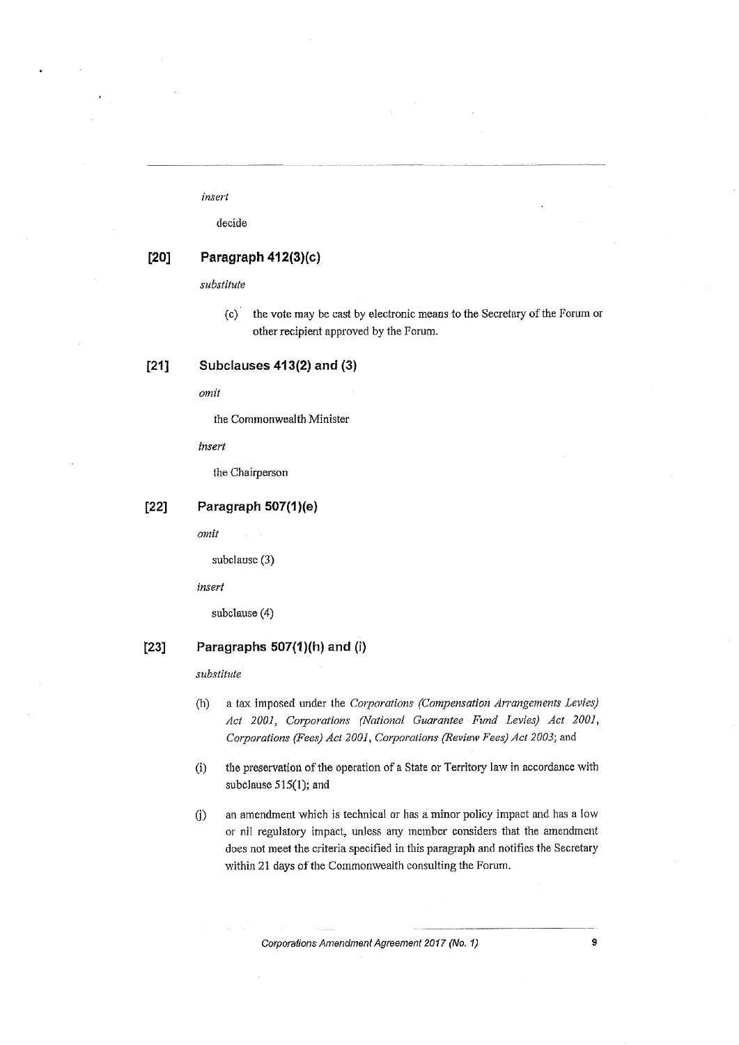#### *insert*

decide

### **[20] Paragraph 412(3)(c)**

*substitute* 

(c) the vote may be cast by electronic means to the Secretary ofthe Forum or other recipient approved by the Forum.

#### **[21] Subclauses 413(2) and (3)**

omit

the Commonwealth Minister

*insert* 

the Chairperson

#### **[22] Paragraph 507(1** )(e)

*omit* 

subclause (3)

*insert* 

subclause (4)

#### **[23] Paragraphs 507(1)(h) and (i)**

*substitute* 

- (h) a tax imposed under the *Corporations (Compensation Arrangements Levies) Act 2001, Corporations (National Guarantee Fund Levies) Act 2001, Corporations (Fees) Act 2001, Corporations (Review Fees) Act 2003;* and
- (i) the preservation of the operation of a State or Territory law in accordance with subclause 515(1); and
- G) an amendment which is technical or has a minor policy impact and has a low or nil regulatory impact, unless any member considers that the amendment does not meet the criteria specified in this paragraph and notifies the Secretary within 21 days of the Commonwealth consulting the Forum.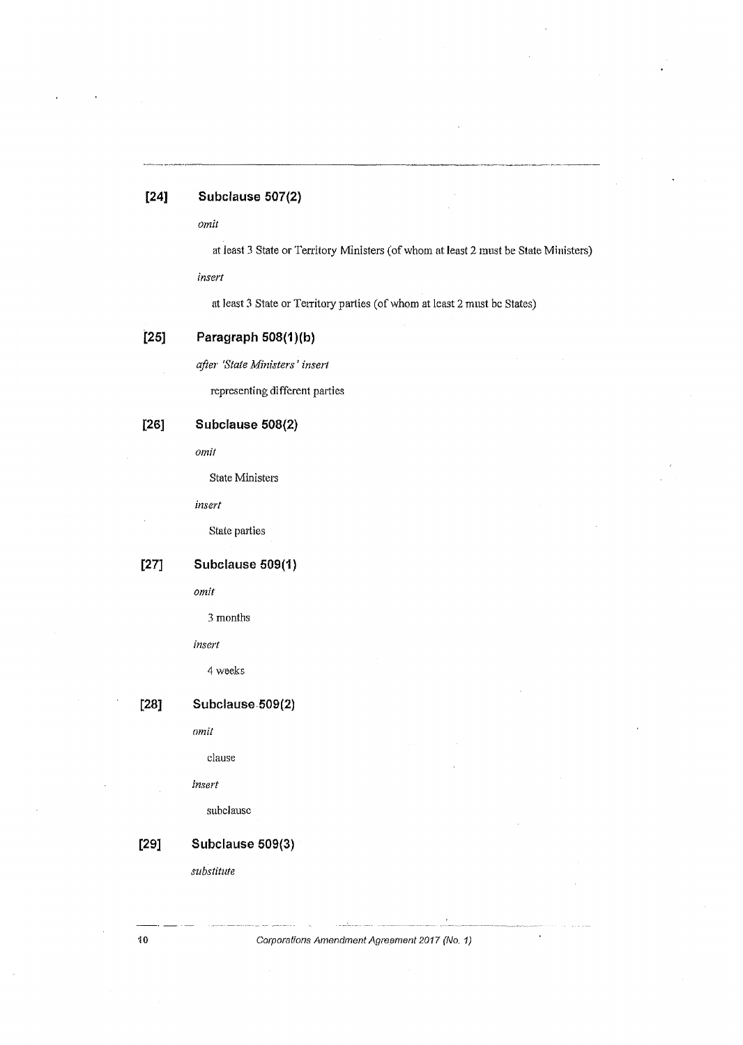### **[24] Subclause 507(2)**

*omit* 

at least 3 State or Territory Ministers (of whom at least 2 must be State Ministers)

*insert* 

at least 3 State or Territory parties (of whom at least 2 must be States)

### **[25] Paragraph 508(1)(b)**

*after 'State Ministers' insert* 

representing different parties

## **[26] Subclause 508(2}**

*omit* 

State Ministers

*insert* 

State parties

# **[27] Subelause 509(1)**

*omit* 

3 months

*insert* 

4 weeks

**[28J Subclause.509(2)** 

nm*it* 

clause

#### *insert*

subclausc

# **[29] Subclause 509(3)**

*substitute*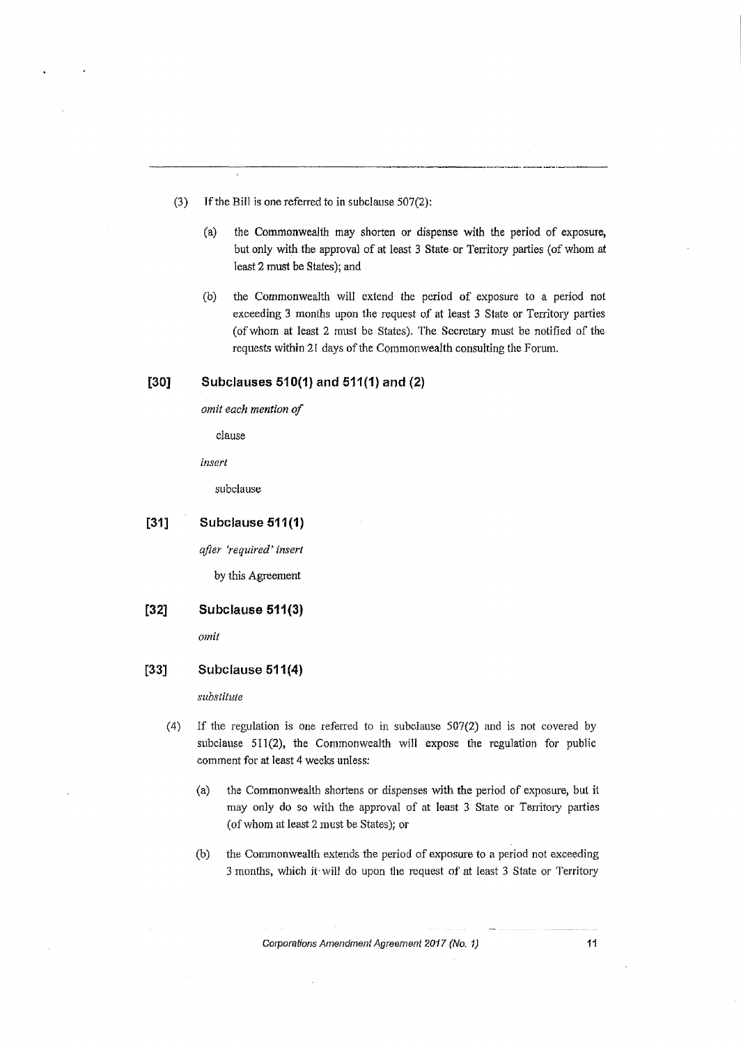- (3) If the Bill is one referred to in subclause  $507(2)$ :
	- (a) the Commonwealth may shorten or dispense with the period of exposure, but only with the approval of at least 3 State or Territory parties (of whom at 1east2 must be States); and

---·---

(b) the Commonwealth will extend the period of exposure to a period not exceeding 3 months upon the request of at least 3 State or Territory parties (ofwhom at least 2 must be States). The Secretary must be notified of the requests within 21 days of the Commonwealth consulting the Forum.

#### **[30J Subclauses 510(1) and 511(1) and (2)**

*omit each mention of* 

clause

*insert* 

subclause

**[31] Subclause 511(1)** 

*after 'required' insert* 

by this Agreement

**[32] Subclause 511(3)** 

*omit* 

#### **[33] Subclause 511 (4)**

*substitute* 

- (4) If the regulation is one referred to in subclause  $507(2)$  and is not covered by subclause 511(2), the Commonwealth will expose the regulation for public comment for at least 4 weeks unless:
	- (a) the Commonwealth shortens or dispenses with the period of exposure, but it may only do so with the approval of at least 3 State or Territory parties (of whom at least 2 must be States); or
	- (b) the Commonwealth extends the period of exposure to a period not exceeding 3 months, which it will do upon the request of at least 3 State or Territory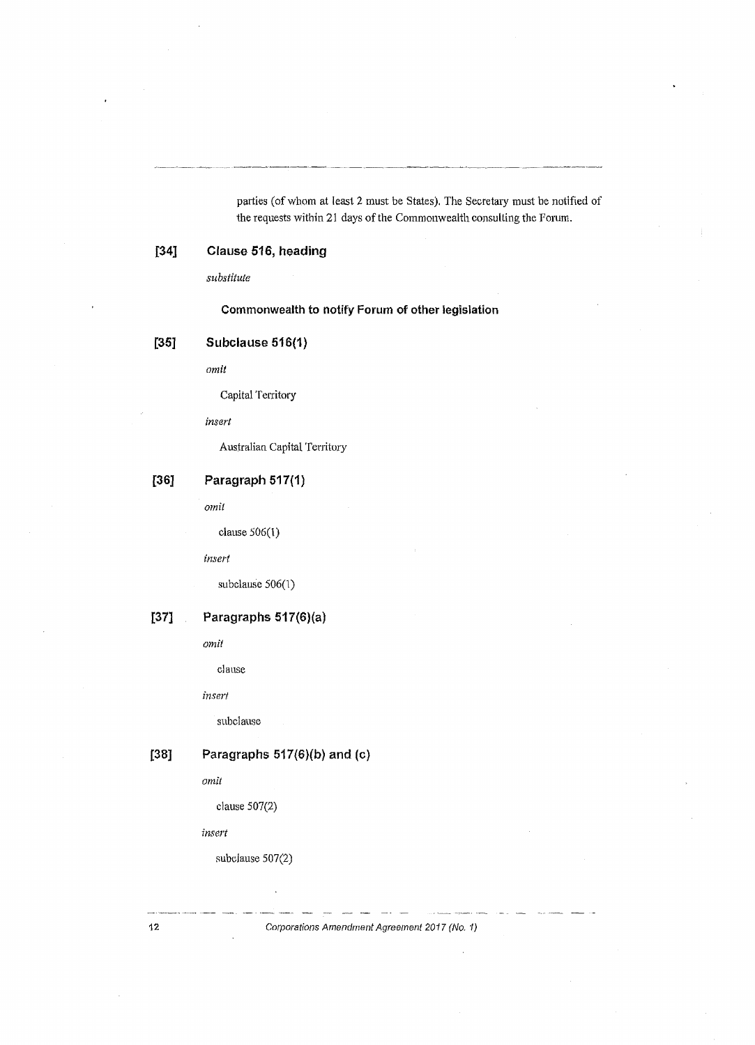parties (of whom at least 2 must be States). The Secretary must be notified of the requests within 21 days of the Commonwealth consulting the Forum.

## **[34] Clause 516, heading**

*substitute* 

### **Commonwealth to notify Forum of other legislation**

### **[35] Subclause 516(1}**

*omit* 

Capital Territory

*insert* 

Australian Capital Territory

# **[36] Paragraph 517(1)**

*omit* 

clause 506(1)

*insert* 

subclause 506(1)

# **[37] Paragraphs 517(6)(a)**

*omit* 

clause

*insert* 

subclause

## **[38] Paragraphs 517(6)(b) and** (c}

*omit* 

clause 507(2)

*insert* 

subclause 507(2)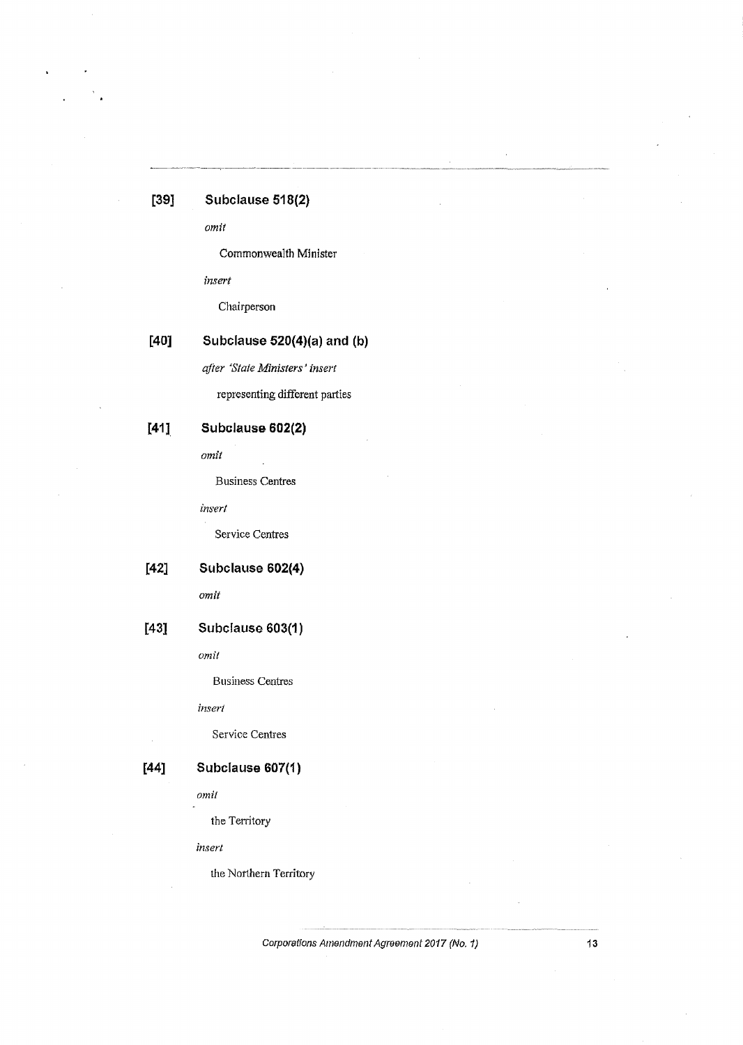# **[39] Subclause 518(2)**

*omit* 

Commonwealth Minister

*insert* 

Chairperson

## **[40] Subclause 520(4)(a) and (b)**

*after 'State Ministers' insert* 

representing different parties

### **[41] Subclause 602(2)**

*omit* 

Business Centres

*insert* 

Service Centres

## **[42] Subclause 602(4)**

*omit* 

## **[43] Subclause 603(1)**

*omit* 

Business Centres

*insert* 

Service Centres

# **[44] Subclause 607(1)**

*omit* 

the Territory

*insert* 

the Northern Territory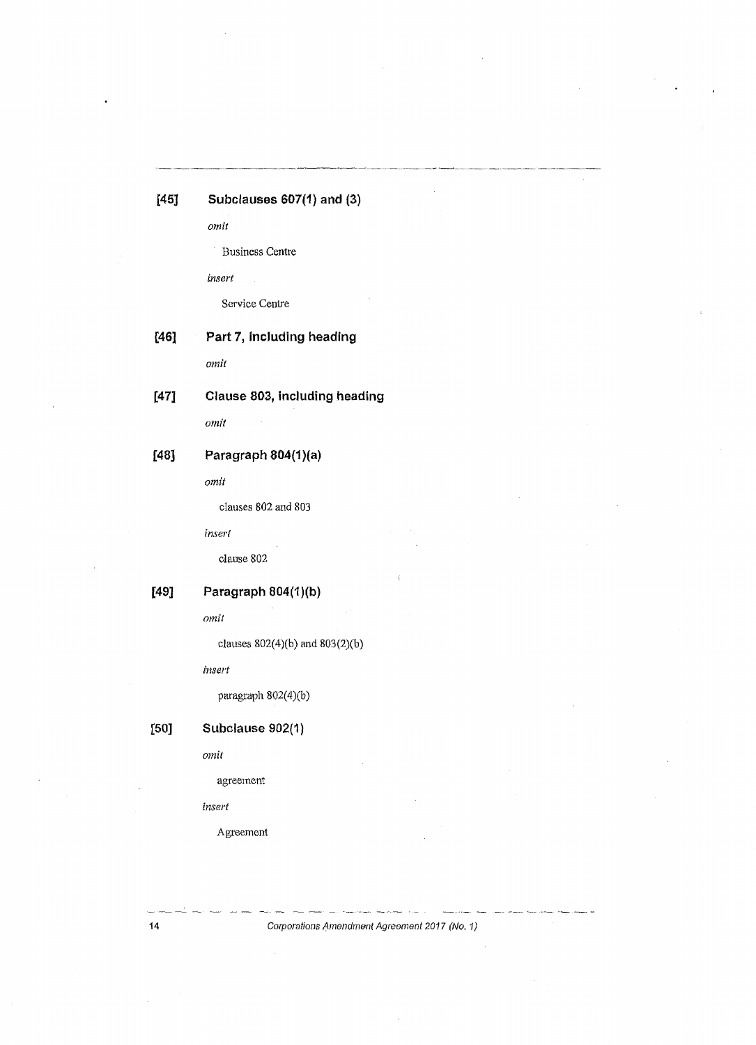# **[45] Subclauses 607(1) and (3)**

*omit* 

Business Centre

*insert* 

Service Centre

### **[46] Part 7, including heading**

*omit* 

## **[47] Clause 803, including heading**

*omit* 

## **[48] Paragraph 804(1)(a)**

*omit* 

clauses 802 and 803

*insert* 

clause 802

# **[49] Paragraph 804(1)(b)**

*omit* 

clauses 802(4)(b) and 803(2)(b)

*insert* 

paragraph  $802(4)(b)$ 

# **[50] Subclause 902{1)**

*omit* 

agreement

*insert* 

Agreement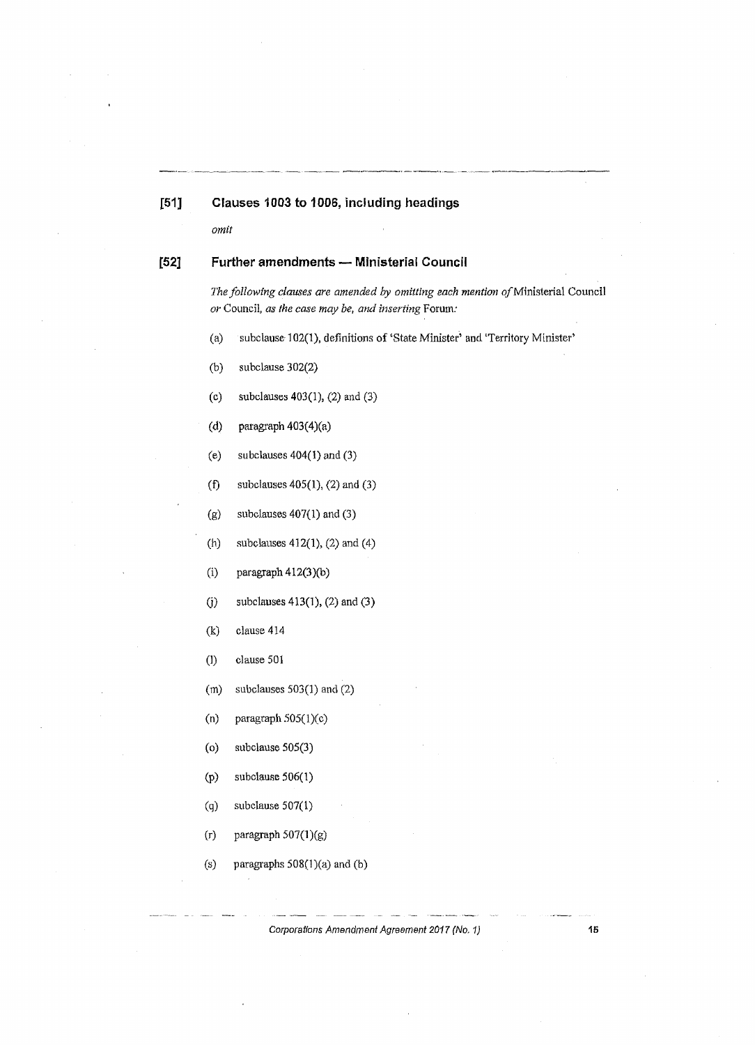#### [51] **Clauses 1003to1006, including headings**

*omit* 

### **[52] Further amendments - Ministerial Council**

*The followfng clauses are amended by omitting each mention of*Ministerial Council *or* Council, *as the case may be, and inserting* Forum:

(a) subclause· 102(1), definitions of 'State Minister' and 'Territory Minister'

--·-·-~·---··-

- (b) subclause 302(2)
- (c) subclauses 403(1), (2) and (3)
- (d) paragraph 403(4)(a)
- (e) subclauses  $404(1)$  and  $(3)$
- (f) subclauses  $405(1)$ ,  $(2)$  and  $(3)$
- $(g)$  subclauses  $407(1)$  and  $(3)$
- (h) subclauses  $412(1)$ ,  $(2)$  and  $(4)$
- (i) paragraph  $412(3)(b)$
- (j) subclauses  $413(1)$ ,  $(2)$  and  $(3)$
- (k) clause 414
- (J) clause 501
- (m) subclauses 503(1) and (2)
- (n) paragraph  $505(1)(c)$
- (o) subclause 505(3)
- $(p)$  subclause 506(1)
- $(g)$  subclause  $507(1)$
- $(r)$  paragraph 507(1)(g)
- (s) paragraphs 508(1)(a) and (b)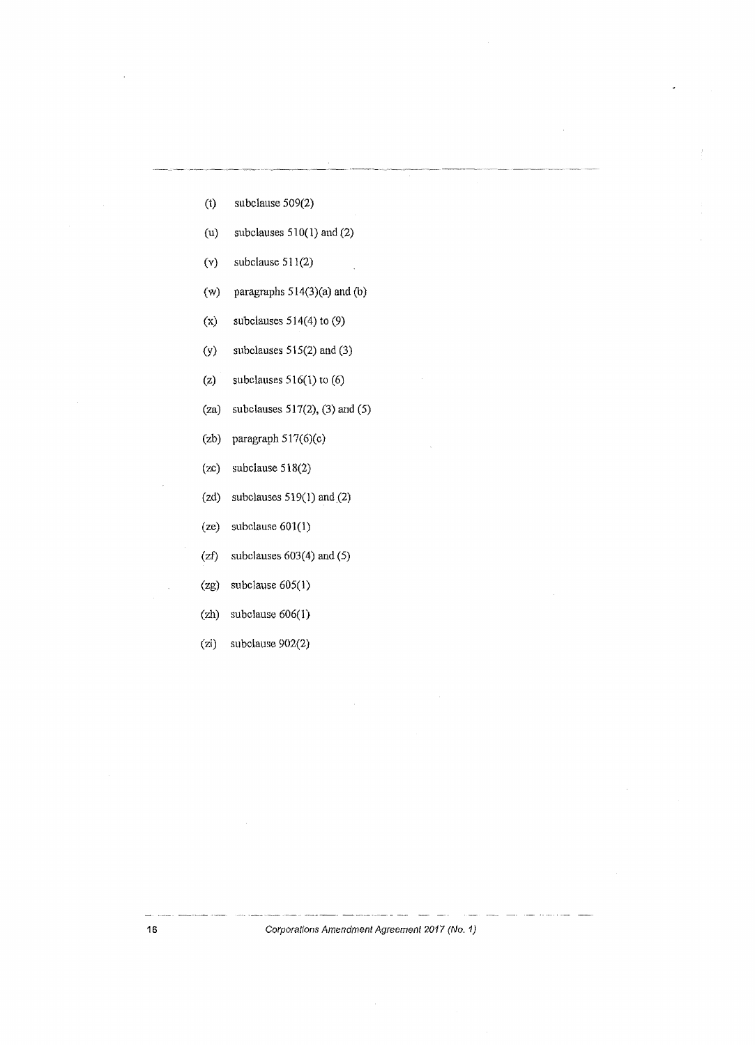- (t) subclause 509(2)
- (u) subclauses 510(1) and (2)
- (v) subclause 511(2)
- (w) paragraphs 514(3)(a) and (b)
- (x) subclauses 514(4) to (9)
- (y) subclauses 515(2) and (3)
- (z) subclauses 516(1) to (6)
- (za) subclauses 517(2), (3) and (5)
- (zb) paragraph 517(6)(c)
- (zc) subclause 518(2)
- (zd) subclauses  $519(1)$  and  $(2)$
- (ze) subclause 601(1)
- (zf) subclauses 603(4) and (5)
- (zg) subclause 605(1)
- (zh) subclause 606(1)
- (zi) subclause 902(2)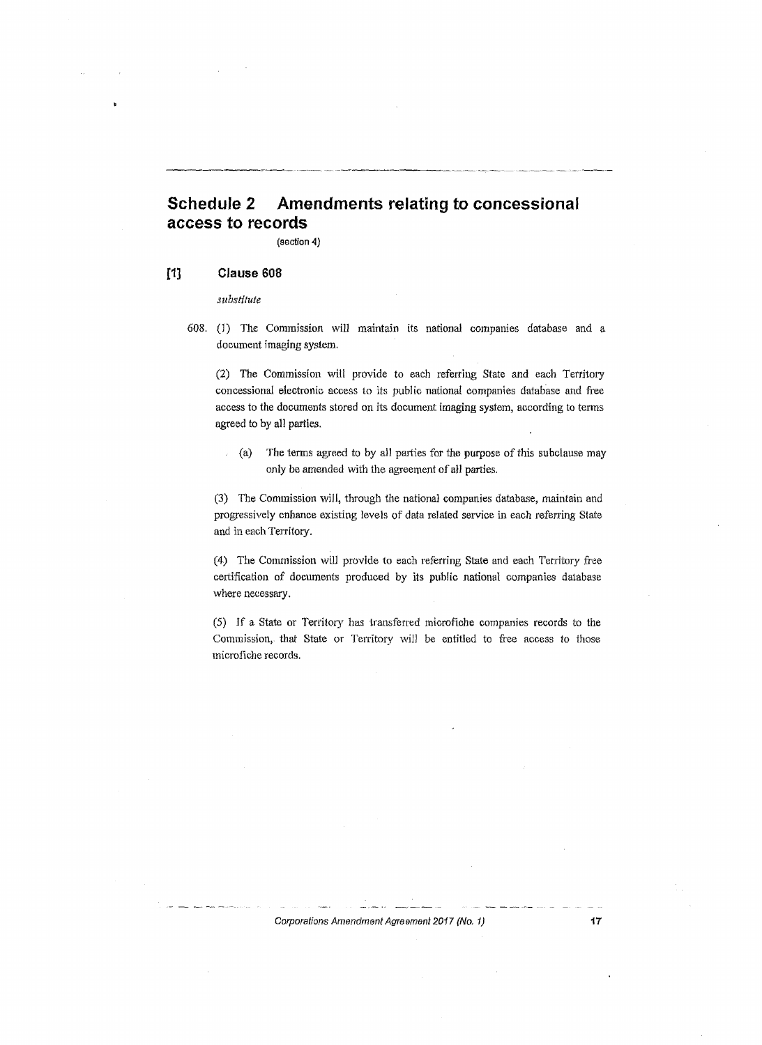# **Schedule 2 Amendments relating to concessional access to records**

(section 4)

#### **[1] Clause 608**

*substitute* 

608. (1) The Commission will maintain its national companies database and a document imaging system.

(2) The Commission will provide to each referring State and each Territory concessional electronic access to its public national companies database and free access to the documents stored on its document imaging system, according to tenns agreed to by all parties.

 $(a)$  The terms agreed to by all parties for the purpose of this subclause may only be amended with the agreement of all parties.

(3) The Commission will, through the national companies database, maintain and progressively enhance existing levels of data related service in each referring State and in each Territory.

(4) The Commission will provide to each referring State and each Territory free certification of documents produced by its public national companies database where necessary.

(5) If a State or Territory has transferred microfiche companies records to the Commission, that State or Territory will be entitled to free access to those microfiche records.

#### Corporations Amendment Agreement 2017 (No. 1) 17

. . . . .